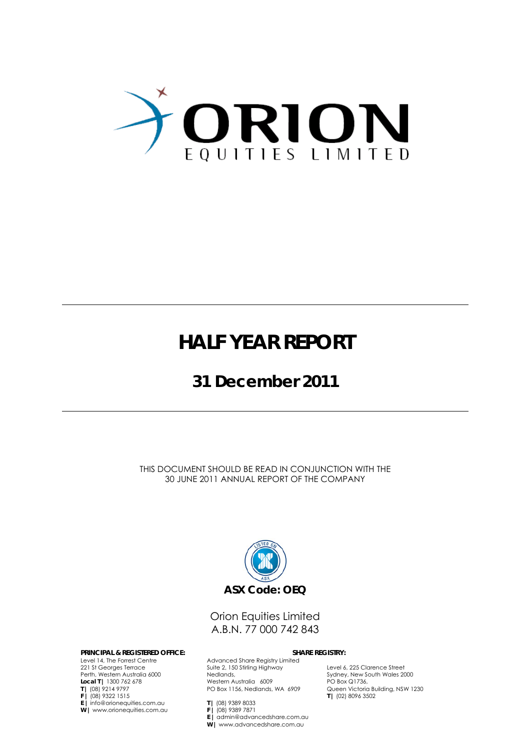

## **HALF YEAR REPORT**

## **31 December 2011**

THIS DOCUMENT SHOULD BE READ IN CONJUNCTION WITH THE 30 JUNE 2011 ANNUAL REPORT OF THE COMPANY



## Orion Equities Limited A.B.N. 77 000 742 843

#### **PRINCIPAL & REGISTERED OFFICE: SHARE REGISTRY:**

Level 14, The Forrest Centre 221 St Georges Terrace Perth, Western Australia 6000 **Local T |** 1300 762 678 **T |** (08) 9214 9797 **F |** (08) 9322 1515 **E |** info@orionequities.com.au **W |** www.orionequities.com.au

Advanced Share Registry Limited Suite 2, 150 Stirling Highway Nedlands, Western Australia 6009 PO Box 1156, Nedlands, WA 6909

Level 6, 225 Clarence Street Sydney, New South Wales 2000 PO Box Q1736, Queen Victoria Building, NSW 1230 **T |** (02) 8096 3502

**T |** (08) 9389 8033 **F |** (08) 9389 7871 **E |** admin@advancedshare.com.au **W |** www.advancedshare.com.au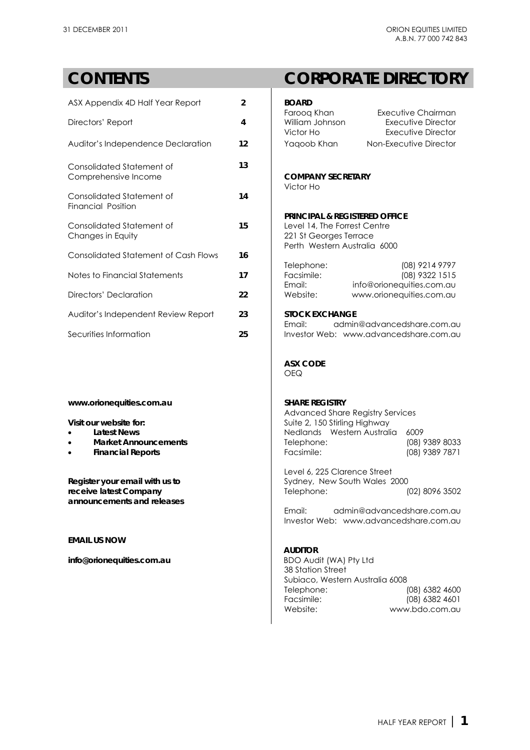| ASX Appendix 4D Half Year Report                       | $\overline{2}$ | <b>BOARD</b>                                                                                                                   |
|--------------------------------------------------------|----------------|--------------------------------------------------------------------------------------------------------------------------------|
| Directors' Report                                      | 4              | Faroog Khan<br>Exe<br>William Johnson<br>E<br>Victor Ho<br>E                                                                   |
| Auditor's Independence Declaration                     | 12             | Non-Ex<br>Yaqoob Khan                                                                                                          |
| Consolidated Statement of<br>Comprehensive Income      | 13             | <b>COMPANY SECRETARY</b><br>Victor Ho                                                                                          |
| Consolidated Statement of<br><b>Financial Position</b> | 14             |                                                                                                                                |
| Consolidated Statement of<br>Changes in Equity         | 15             | <b>PRINCIPAL &amp; REGISTERED OFI</b><br>Level 14, The Forrest Centre<br>221 St Georges Terrace<br>Perth Western Australia 600 |
| <b>Consolidated Statement of Cash Flows</b>            | 16             |                                                                                                                                |
| Notes to Financial Statements                          | 17             | Telephone:<br>Facsimile:<br>Email:<br>info@orior                                                                               |
| Directors' Declaration                                 | 22             | Website:<br>www.orior                                                                                                          |
| Auditor's Independent Review Report                    | 23             | <b>STOCK EXCHANGE</b><br>admin@advan<br>Email:                                                                                 |
| Securities Information                                 | 25             | Investor Web: www.advan                                                                                                        |

### www.orionequities.com.au

- **.** Latest News
- **•** Market Announcements
- **•** Financial Reports

## **CONTENTS CORPORATE DIRECTORY**

| ASX Appendix 4D Half Year Report                                                                                                                                           | 2  | <b>BOARD</b>                                                                                                                                                |                                                                |
|----------------------------------------------------------------------------------------------------------------------------------------------------------------------------|----|-------------------------------------------------------------------------------------------------------------------------------------------------------------|----------------------------------------------------------------|
| Directors' Report                                                                                                                                                          | 4  | Faroog Khan<br>William Johnson<br>Victor Ho                                                                                                                 | Executive Chairman<br>Executive Director<br>Executive Director |
| Auditor's Independence Declaration                                                                                                                                         | 12 | Yaqoob Khan                                                                                                                                                 | Non-Executive Director                                         |
| Consolidated Statement of<br>Comprehensive Income                                                                                                                          | 13 | <b>COMPANY SECRETARY</b><br>Victor Ho                                                                                                                       |                                                                |
| Consolidated Statement of<br><b>Financial Position</b>                                                                                                                     | 14 |                                                                                                                                                             |                                                                |
| Consolidated Statement of<br>Changes in Equity                                                                                                                             | 15 | <b>PRINCIPAL &amp; REGISTERED OFFICE</b><br>Level 14, The Forrest Centre<br>221 St Georges Terrace<br>Perth Western Australia 6000                          |                                                                |
| Consolidated Statement of Cash Flows                                                                                                                                       | 16 | Telephone:                                                                                                                                                  | (08) 9214 9797                                                 |
| Notes to Financial Statements                                                                                                                                              | 17 | Facsimile:<br>Email:<br>info@orionequities.com.au                                                                                                           | (08) 9322 1515                                                 |
| Directors' Declaration                                                                                                                                                     | 22 | Website:<br>www.orionequities.com.au                                                                                                                        |                                                                |
| Auditor's Independent Review Report                                                                                                                                        | 23 | <b>STOCK EXCHANGE</b><br>Email:                                                                                                                             |                                                                |
| Securities Information                                                                                                                                                     | 25 | admin@advancedshare.com.au<br>Investor Web: www.advancedshare.com.au                                                                                        |                                                                |
|                                                                                                                                                                            |    | <b>ASX CODE</b><br><b>OEQ</b>                                                                                                                               |                                                                |
| www.orionequities.com.au<br>Visit our website for:<br><b>Latest News</b><br>$\bullet$<br>$\bullet$<br><b>Market Announcements</b><br><b>Financial Reports</b><br>$\bullet$ |    | <b>SHARE REGISTRY</b><br><b>Advanced Share Registry Services</b><br>Suite 2, 150 Stirling Highway<br>Nedlands Western Australia<br>Telephone:<br>Facsimile: | 6009<br>(08) 9389 8033<br>(08) 9389 7871                       |
| Register your email with us to<br>receive latest Company<br>announcements and releases                                                                                     |    | Level 6, 225 Clarence Street<br>Sydney, New South Wales 2000<br>Telephone:<br>admin@advancedshare.com.au<br>Email:                                          | (02) 8096 3502                                                 |
|                                                                                                                                                                            |    | Investor Web: www.advancedshare.com.au                                                                                                                      |                                                                |
| email us now                                                                                                                                                               |    | <b>AUDITOR</b>                                                                                                                                              |                                                                |
| info@orionequities.com.au                                                                                                                                                  |    | BDO Audit (WA) Pty Ltd<br>38 Station Street<br>Subiaco, Western Australia 6008<br>Telephone:<br>Facsimile:<br>Website:                                      | $(08)$ 6382 4600<br>(08) 6382 4601<br>www.bdo.com.au           |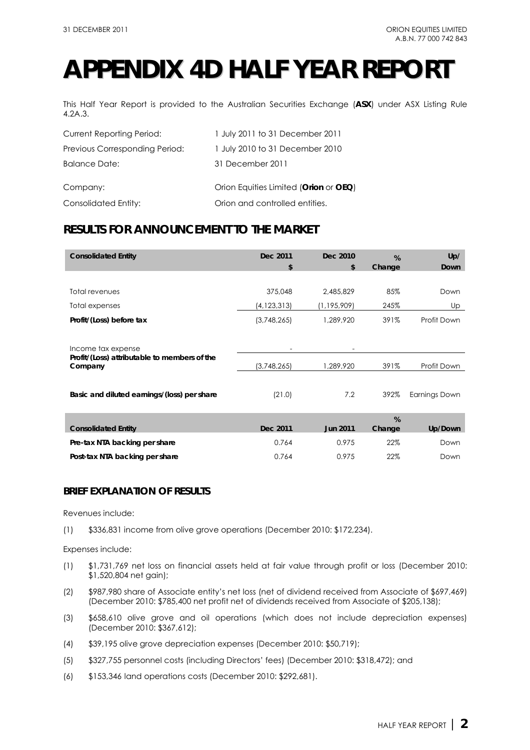## **APPENDIX 4D HALF YEAR REPORT**

This Half Year Report is provided to the Australian Securities Exchange (**ASX**) under ASX Listing Rule 4.2A.3.

| <b>Current Reporting Period:</b> | 1 July 2011 to 31 December 2011       |
|----------------------------------|---------------------------------------|
| Previous Corresponding Period:   | 1 July 2010 to 31 December 2010       |
| Balance Date:                    | 31 December 2011                      |
| Company:                         | Orion Equities Limited (Orion or OEQ) |
| Consolidated Entity:             | Orion and controlled entities.        |

## **RESULTS FOR ANNOUNCEMENT TO THE MARKET**

| <b>Consolidated Entity</b>                              | Dec 2011<br>\$ | Dec 2010<br>\$  | $\%$<br>Change | Up/<br>Down   |
|---------------------------------------------------------|----------------|-----------------|----------------|---------------|
|                                                         |                |                 |                |               |
| Total revenues                                          | 375,048        | 2,485,829       | 85%            | Down          |
| Total expenses                                          | (4,123,313)    | (1,195,909)     | 245%           | Up            |
| Profit/(Loss) before tax                                | (3,748,265)    | 1,289,920       | 391%           | Profit Down   |
|                                                         |                |                 |                |               |
| Income tax expense                                      |                |                 |                |               |
| Profit/(Loss) attributable to members of the<br>Company | (3,748,265)    | 1,289,920       | 391%           | Profit Down   |
|                                                         |                |                 |                |               |
| Basic and diluted earnings/(loss) per share             | (21.0)         | 7.2             | 392%           | Earnings Down |
|                                                         |                |                 |                |               |
|                                                         |                |                 | %              |               |
| <b>Consolidated Entity</b>                              | Dec 2011       | <b>Jun 2011</b> | Change         | Up/Down       |
| Pre-tax NTA backing per share                           | 0.764          | 0.975           | 22%            | Down          |
| Post-tax NTA backing per share                          | 0.764          | 0.975           | 22%            | Down          |

## **BRIEF EXPLANATION OF RESULTS**

Revenues include:

(1) \$336,831 income from olive grove operations (December 2010: \$172,234).

Expenses include:

- (1) \$1,731,769 net loss on financial assets held at fair value through profit or loss (December 2010: \$1,520,804 net gain);
- (2) \$987,980 share of Associate entity's net loss (net of dividend received from Associate of \$697,469) (December 2010: \$785,400 net profit net of dividends received from Associate of \$205,138);
- (3) \$658,610 olive grove and oil operations (which does not include depreciation expenses) (December 2010: \$367,612);
- (4) \$39,195 olive grove depreciation expenses (December 2010: \$50,719);
- (5) \$327,755 personnel costs (including Directors' fees) (December 2010: \$318,472); and
- (6) \$153,346 land operations costs (December 2010: \$292,681).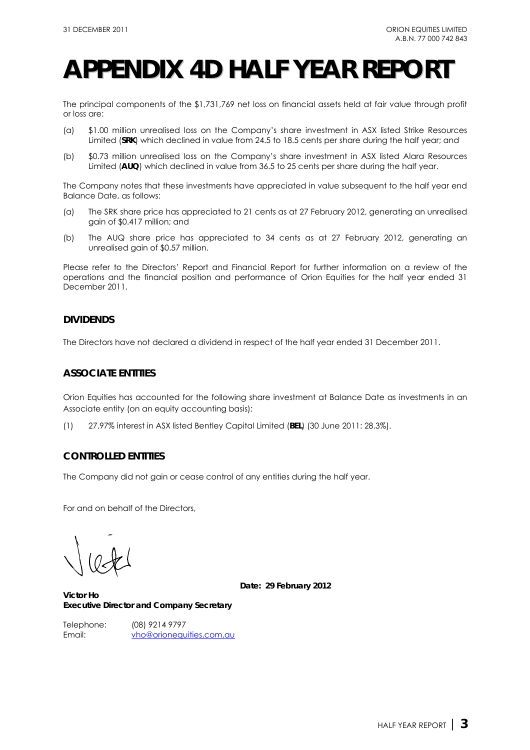## **APPENDIX 4D HALF YEAR REPORT**

The principal components of the \$1,731,769 net loss on financial assets held at fair value through profit or loss are:

- (a) \$1.00 million unrealised loss on the Company's share investment in ASX listed Strike Resources Limited (**SRK**) which declined in value from 24.5 to 18.5 cents per share during the half year; and
- (b) \$0.73 million unrealised loss on the Company's share investment in ASX listed Alara Resources Limited (**AUQ**) which declined in value from 36.5 to 25 cents per share during the half year.

The Company notes that these investments have appreciated in value subsequent to the half year end Balance Date, as follows:

- (a) The SRK share price has appreciated to 21 cents as at 27 February 2012, generating an unrealised gain of \$0.417 million; and
- (b) The AUQ share price has appreciated to 34 cents as at 27 February 2012, generating an unrealised gain of \$0.57 million.

Please refer to the Directors' Report and Financial Report for further information on a review of the operations and the financial position and performance of Orion Equities for the half year ended 31 December 2011.

## **DIVIDENDS**

The Directors have not declared a dividend in respect of the half year ended 31 December 2011.

## **ASSOCIATE ENTITIES**

Orion Equities has accounted for the following share investment at Balance Date as investments in an Associate entity (on an equity accounting basis):

(1) 27.97% interest in ASX listed Bentley Capital Limited (**BEL**) (30 June 2011: 28.3%).

### **CONTROLLED ENTITIES**

The Company did not gain or cease control of any entities during the half year.

For and on behalf of the Directors,

**Date: 29 February 2012** 

**Victor Ho Executive Director and Company Secretary** 

Telephone: (08) 9214 9797 Email: vho@orionequities.com.au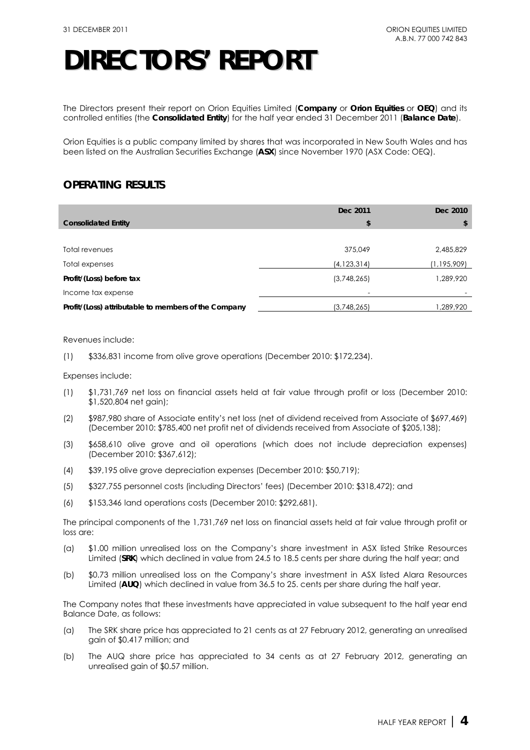The Directors present their report on Orion Equities Limited (**Company** or **Orion Equities** or **OEQ**) and its controlled entities (the **Consolidated Entity**) for the half year ended 31 December 2011 (**Balance Date**).

Orion Equities is a public company limited by shares that was incorporated in New South Wales and has been listed on the Australian Securities Exchange (**ASX**) since November 1970 (ASX Code: OEQ).

## **OPERATING RESULTS**

|                                                      | Dec 2011      | Dec 2010    |
|------------------------------------------------------|---------------|-------------|
| <b>Consolidated Entity</b>                           | \$            | S           |
|                                                      |               |             |
| Total revenues                                       | 375,049       | 2,485,829   |
| Total expenses                                       | (4, 123, 314) | (1,195,909) |
| Profit/(Loss) before tax                             | (3,748,265)   | ,289,920    |
| Income tax expense                                   |               |             |
| Profit/(Loss) attributable to members of the Company | (3,748,265)   | 289,920, ا  |

Revenues include:

(1) \$336,831 income from olive grove operations (December 2010: \$172,234).

Expenses include:

- (1) \$1,731,769 net loss on financial assets held at fair value through profit or loss (December 2010: \$1,520,804 net gain);
- (2) \$987,980 share of Associate entity's net loss (net of dividend received from Associate of \$697,469) (December 2010: \$785,400 net profit net of dividends received from Associate of \$205,138);
- (3) \$658,610 olive grove and oil operations (which does not include depreciation expenses) (December 2010: \$367,612);
- (4) \$39,195 olive grove depreciation expenses (December 2010: \$50,719);
- (5) \$327,755 personnel costs (including Directors' fees) (December 2010: \$318,472); and
- (6) \$153,346 land operations costs (December 2010: \$292,681).

The principal components of the 1,731,769 net loss on financial assets held at fair value through profit or loss are:

- (a) \$1.00 million unrealised loss on the Company's share investment in ASX listed Strike Resources Limited (**SRK**) which declined in value from 24.5 to 18.5 cents per share during the half year; and
- (b) \$0.73 million unrealised loss on the Company's share investment in ASX listed Alara Resources Limited (**AUQ**) which declined in value from 36.5 to 25. cents per share during the half year.

The Company notes that these investments have appreciated in value subsequent to the half year end Balance Date, as follows:

- (a) The SRK share price has appreciated to 21 cents as at 27 February 2012, generating an unrealised gain of \$0.417 million; and
- (b) The AUQ share price has appreciated to 34 cents as at 27 February 2012, generating an unrealised gain of \$0.57 million.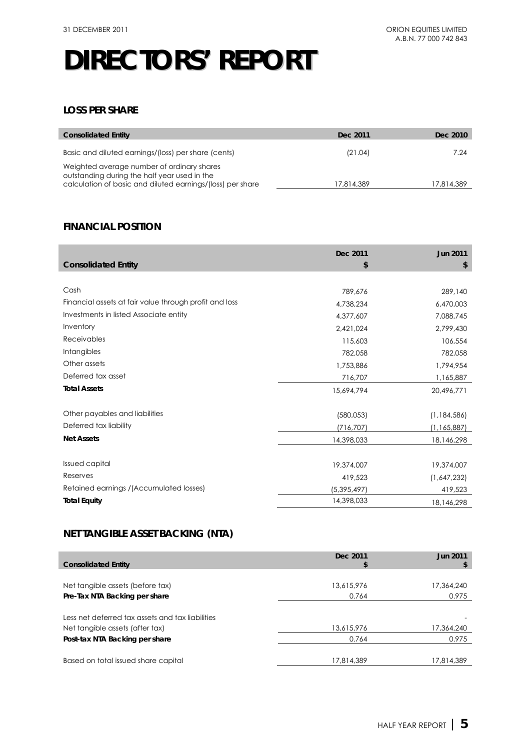## **LOSS PER SHARE**

| <b>Consolidated Entity</b>                                                                                                                               | Dec 2011   | Dec 2010   |
|----------------------------------------------------------------------------------------------------------------------------------------------------------|------------|------------|
| Basic and diluted earnings/(loss) per share (cents)                                                                                                      | (21.04)    | 7.24       |
| Weighted average number of ordinary shares<br>outstanding during the half year used in the<br>calculation of basic and diluted earnings/(loss) per share | 17,814,389 | 17.814.389 |

## **FINANCIAL POSITION**

|                                                        | Dec 2011      | <b>Jun 2011</b> |
|--------------------------------------------------------|---------------|-----------------|
| <b>Consolidated Entity</b>                             | \$            | \$              |
|                                                        |               |                 |
| Cash                                                   | 789,676       | 289,140         |
| Financial assets at fair value through profit and loss | 4,738,234     | 6,470,003       |
| Investments in listed Associate entity                 | 4,377,607     | 7,088,745       |
| Inventory                                              | 2,421,024     | 2,799,430       |
| <b>Receivables</b>                                     | 115,603       | 106,554         |
| Intangibles                                            | 782,058       | 782,058         |
| Other assets                                           | 1,753,886     | 1,794,954       |
| Deferred tax asset                                     | 716,707       | 1,165,887       |
| <b>Total Assets</b>                                    | 15,694,794    | 20,496,771      |
|                                                        |               |                 |
| Other payables and liabilities                         | (580,053)     | (1, 184, 586)   |
| Deferred tax liability                                 | (716, 707)    | (1, 165, 887)   |
| <b>Net Assets</b>                                      | 14,398,033    | 18,146,298      |
|                                                        |               |                 |
| <b>Issued capital</b>                                  | 19,374,007    | 19,374,007      |
| Reserves                                               | 419,523       | (1,647,232)     |
| Retained earnings / (Accumulated losses)               | (5, 395, 497) | 419,523         |
| <b>Total Equity</b>                                    | 14,398,033    | 18,146,298      |

## **NET TANGIBLE ASSET BACKING (NTA)**

| <b>Consolidated Entity</b>                                                          | Dec 2011<br>S | Jun 2011   |
|-------------------------------------------------------------------------------------|---------------|------------|
|                                                                                     |               |            |
| Net tangible assets (before tax)                                                    | 13,615,976    | 17,364,240 |
| Pre-Tax NTA Backing per share                                                       | 0.764         | 0.975      |
| Less net deferred tax assets and tax liabilities<br>Net tangible assets (after tax) | 13,615,976    | 17,364,240 |
| Post-tax NTA Backing per share                                                      | 0.764         | 0.975      |
| Based on total issued share capital                                                 | 17.814.389    | 17,814,389 |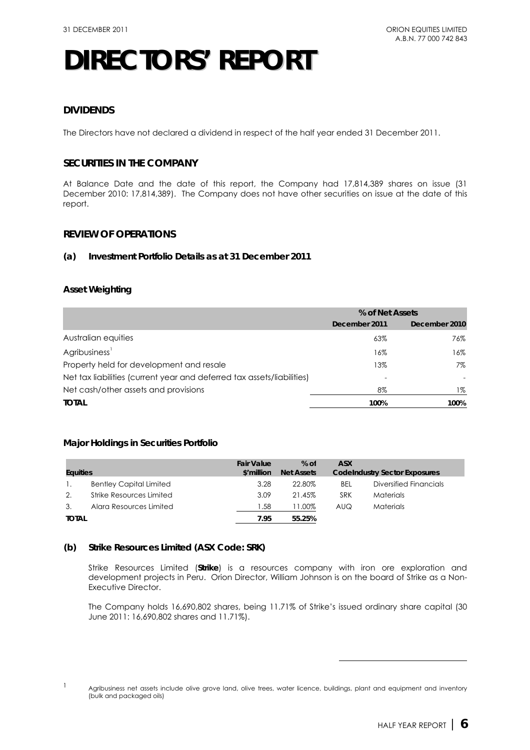## **DIVIDENDS**

The Directors have not declared a dividend in respect of the half year ended 31 December 2011.

## **SECURITIES IN THE COMPANY**

At Balance Date and the date of this report, the Company had 17,814,389 shares on issue (31 December 2010: 17,814,389). The Company does not have other securities on issue at the date of this report.

## **REVIEW OF OPERATIONS**

### **(a) Investment Portfolio Details as at 31 December 2011**

### **Asset Weighting**

|                                                                        | % of Net Assets |               |  |
|------------------------------------------------------------------------|-----------------|---------------|--|
|                                                                        | December 2011   | December 2010 |  |
| Australian equities                                                    | 63%             | 76%           |  |
| Agribusiness <sup>1</sup>                                              | 16%             | 16%           |  |
| Property held for development and resale                               | 13%             | 7%            |  |
| Net tax liabilities (current year and deferred tax assets/liabilities) |                 |               |  |
| Net cash/other assets and provisions                                   | 8%              | $1\%$         |  |
| <b>TOTAL</b>                                                           | 100%            | 100%          |  |

### **Major Holdings in Securities Portfolio**

| <b>Equities</b> |                                | <b>Fair Value</b><br>\$'million | $%$ of<br><b>Net Assets</b> | <b>ASX</b> | <b>Codelndustry Sector Exposures</b> |
|-----------------|--------------------------------|---------------------------------|-----------------------------|------------|--------------------------------------|
|                 | <b>Bentley Capital Limited</b> | 3.28                            | 22.80%                      | <b>BEL</b> | Diversified Financials               |
| 2.              | Strike Resources Limited       | 3.09                            | 21.45%                      | <b>SRK</b> | <b>Materials</b>                     |
| 3.              | Alara Resources Limited        | .58                             | 11.00%                      | AUQ        | <b>Materials</b>                     |
| <b>TOTAL</b>    |                                | 7.95                            | 55.25%                      |            |                                      |

#### **(b) Strike Resources Limited (ASX Code: SRK)**

Strike Resources Limited (**Strike**) is a resources company with iron ore exploration and development projects in Peru. Orion Director, William Johnson is on the board of Strike as a Non-Executive Director.

The Company holds 16,690,802 shares, being 11.71% of Strike's issued ordinary share capital (30 June 2011: 16,690,802 shares and 11.71%).

 $\overline{a}$ 

<sup>1</sup> Agribusiness net assets include olive grove land, olive trees, water licence, buildings, plant and equipment and inventory (bulk and packaged oils)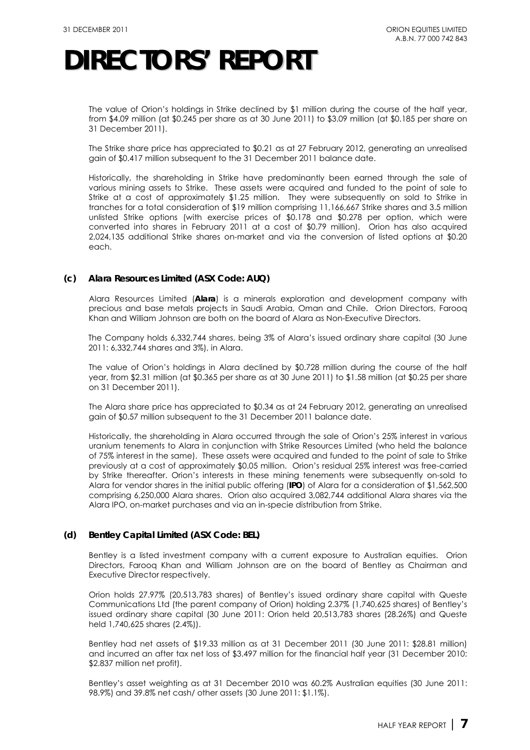The value of Orion's holdings in Strike declined by \$1 million during the course of the half year, from \$4.09 million (at \$0.245 per share as at 30 June 2011) to \$3.09 million (at \$0.185 per share on 31 December 2011).

The Strike share price has appreciated to \$0.21 as at 27 February 2012, generating an unrealised gain of \$0.417 million subsequent to the 31 December 2011 balance date.

Historically, the shareholding in Strike have predominantly been earned through the sale of various mining assets to Strike. These assets were acquired and funded to the point of sale to Strike at a cost of approximately \$1.25 million. They were subsequently on sold to Strike in tranches for a total consideration of \$19 million comprising 11,166,667 Strike shares and 3.5 million unlisted Strike options (with exercise prices of \$0.178 and \$0.278 per option, which were converted into shares in February 2011 at a cost of \$0.79 million). Orion has also acquired 2,024,135 additional Strike shares on-market and via the conversion of listed options at \$0.20 each.

### **(c) Alara Resources Limited (ASX Code: AUQ)**

Alara Resources Limited (**Alara**) is a minerals exploration and development company with precious and base metals projects in Saudi Arabia, Oman and Chile. Orion Directors, Farooq Khan and William Johnson are both on the board of Alara as Non-Executive Directors.

The Company holds 6,332,744 shares, being 3% of Alara's issued ordinary share capital (30 June 2011: 6,332,744 shares and 3%), in Alara.

The value of Orion's holdings in Alara declined by \$0.728 million during the course of the half year, from \$2.31 million (at \$0.365 per share as at 30 June 2011) to \$1.58 million (at \$0.25 per share on 31 December 2011).

The Alara share price has appreciated to \$0.34 as at 24 February 2012, generating an unrealised gain of \$0.57 million subsequent to the 31 December 2011 balance date.

Historically, the shareholding in Alara occurred through the sale of Orion's 25% interest in various uranium tenements to Alara in conjunction with Strike Resources Limited (who held the balance of 75% interest in the same). These assets were acquired and funded to the point of sale to Strike previously at a cost of approximately \$0.05 million. Orion's residual 25% interest was free-carried by Strike thereafter. Orion's interests in these mining tenements were subsequently on-sold to Alara for vendor shares in the initial public offering (**IPO**) of Alara for a consideration of \$1,562,500 comprising 6,250,000 Alara shares. Orion also acquired 3,082,744 additional Alara shares via the Alara IPO, on-market purchases and via an in-specie distribution from Strike.

### **(d) Bentley Capital Limited (ASX Code: BEL)**

Bentley is a listed investment company with a current exposure to Australian equities. Orion Directors, Farooq Khan and William Johnson are on the board of Bentley as Chairman and Executive Director respectively.

Orion holds 27.97% (20,513,783 shares) of Bentley's issued ordinary share capital with Queste Communications Ltd (the parent company of Orion) holding 2.37% (1,740,625 shares) of Bentley's issued ordinary share capital (30 June 2011: Orion held 20,513,783 shares (28.26%) and Queste held 1,740,625 shares (2.4%)).

Bentley had net assets of \$19.33 million as at 31 December 2011 (30 June 2011: \$28.81 million) and incurred an after tax net loss of \$3.497 million for the financial half year (31 December 2010: \$2.837 million net profit).

Bentley's asset weighting as at 31 December 2010 was 60.2% Australian equities (30 June 2011: 98.9%) and 39.8% net cash/ other assets (30 June 2011: \$1.1%).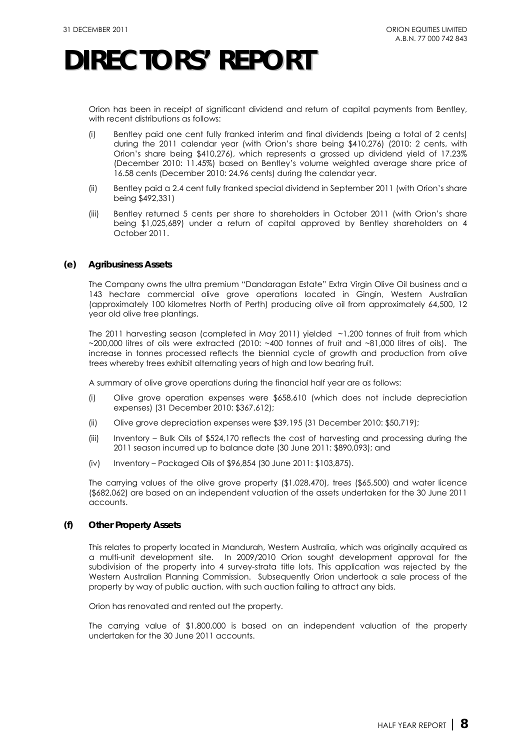Orion has been in receipt of significant dividend and return of capital payments from Bentley, with recent distributions as follows:

- (i) Bentley paid one cent fully franked interim and final dividends (being a total of 2 cents) during the 2011 calendar year (with Orion's share being \$410,276) (2010: 2 cents, with Orion's share being \$410,276), which represents a grossed up dividend yield of 17.23% (December 2010: 11.45%) based on Bentley's volume weighted average share price of 16.58 cents (December 2010: 24.96 cents) during the calendar year.
- (ii) Bentley paid a 2.4 cent fully franked special dividend in September 2011 (with Orion's share being \$492,331)
- (iii) Bentley returned 5 cents per share to shareholders in October 2011 (with Orion's share being \$1,025,689) under a return of capital approved by Bentley shareholders on 4 October 2011.

### **(e) Agribusiness Assets**

The Company owns the ultra premium "Dandaragan Estate" Extra Virgin Olive Oil business and a 143 hectare commercial olive grove operations located in Gingin, Western Australian (approximately 100 kilometres North of Perth) producing olive oil from approximately 64,500, 12 year old olive tree plantings.

The 2011 harvesting season (completed in May 2011) yielded ~1,200 tonnes of fruit from which ~200,000 litres of oils were extracted (2010: ~400 tonnes of fruit and ~81,000 litres of oils). The increase in tonnes processed reflects the biennial cycle of growth and production from olive trees whereby trees exhibit alternating years of high and low bearing fruit.

A summary of olive grove operations during the financial half year are as follows:

- (i) Olive grove operation expenses were \$658,610 (which does not include depreciation expenses) (31 December 2010: \$367,612);
- (ii) Olive grove depreciation expenses were \$39,195 (31 December 2010: \$50,719);
- (iii) Inventory Bulk Oils of \$524,170 reflects the cost of harvesting and processing during the 2011 season incurred up to balance date (30 June 2011: \$890,093); and
- (iv) Inventory Packaged Oils of \$96,854 (30 June 2011: \$103,875).

The carrying values of the olive grove property (\$1,028,470), trees (\$65,500) and water licence (\$682,062) are based on an independent valuation of the assets undertaken for the 30 June 2011 accounts.

### **(f) Other Property Assets**

This relates to property located in Mandurah, Western Australia, which was originally acquired as a multi-unit development site. In 2009/2010 Orion sought development approval for the subdivision of the property into 4 survey-strata title lots. This application was rejected by the Western Australian Planning Commission. Subsequently Orion undertook a sale process of the property by way of public auction, with such auction failing to attract any bids.

Orion has renovated and rented out the property.

The carrying value of \$1,800,000 is based on an independent valuation of the property undertaken for the 30 June 2011 accounts.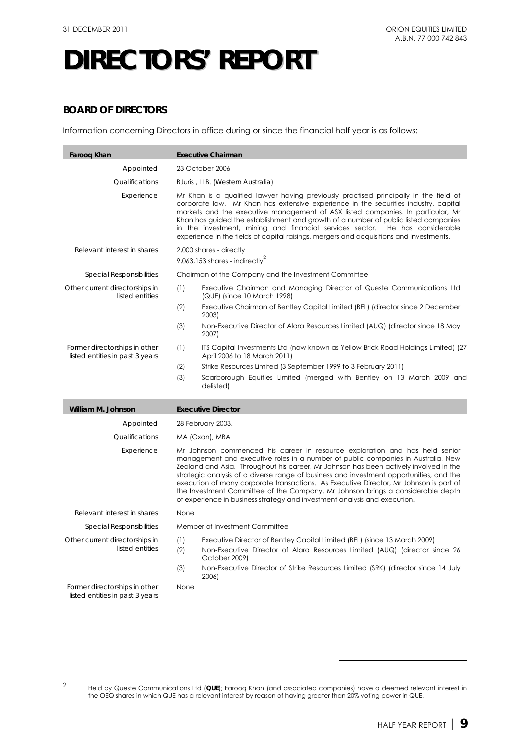## **BOARD OF DIRECTORS**

Information concerning Directors in office during or since the financial half year is as follows:

| <b>Faroog Khan</b>                                               |            | <b>Executive Chairman</b>                                                                                                                                                                                                                                                                                                                                                                                                                                                                                                                                                                                     |
|------------------------------------------------------------------|------------|---------------------------------------------------------------------------------------------------------------------------------------------------------------------------------------------------------------------------------------------------------------------------------------------------------------------------------------------------------------------------------------------------------------------------------------------------------------------------------------------------------------------------------------------------------------------------------------------------------------|
| Appointed                                                        |            | 23 October 2006                                                                                                                                                                                                                                                                                                                                                                                                                                                                                                                                                                                               |
| Qualifications                                                   |            | BJuris, LLB. (Western Australia)                                                                                                                                                                                                                                                                                                                                                                                                                                                                                                                                                                              |
| Experience                                                       |            | Mr Khan is a qualified lawyer having previously practised principally in the field of<br>corporate law. Mr Khan has extensive experience in the securities industry, capital<br>markets and the executive management of ASX listed companies. In particular, Mr<br>Khan has guided the establishment and growth of a number of public listed companies<br>in the investment, mining and financial services sector.<br>He has considerable<br>experience in the fields of capital raisings, mergers and acquisitions and investments.                                                                          |
| Relevant interest in shares                                      |            | 2,000 shares - directly                                                                                                                                                                                                                                                                                                                                                                                                                                                                                                                                                                                       |
|                                                                  |            | 9,063,153 shares - indirectly <sup>2</sup>                                                                                                                                                                                                                                                                                                                                                                                                                                                                                                                                                                    |
| Special Responsibilities                                         |            | Chairman of the Company and the Investment Committee                                                                                                                                                                                                                                                                                                                                                                                                                                                                                                                                                          |
| Other current directorships in<br>listed entities                | (1)        | Executive Chairman and Managing Director of Queste Communications Ltd<br>(QUE) (since 10 March 1998)                                                                                                                                                                                                                                                                                                                                                                                                                                                                                                          |
|                                                                  | (2)        | Executive Chairman of Bentley Capital Limited (BEL) (director since 2 December<br>2003)                                                                                                                                                                                                                                                                                                                                                                                                                                                                                                                       |
|                                                                  | (3)        | Non-Executive Director of Alara Resources Limited (AUQ) (director since 18 May<br>2007)                                                                                                                                                                                                                                                                                                                                                                                                                                                                                                                       |
| Former directorships in other<br>listed entities in past 3 years | (1)        | ITS Capital Investments Ltd (now known as Yellow Brick Road Holdings Limited) (27<br>April 2006 to 18 March 2011)                                                                                                                                                                                                                                                                                                                                                                                                                                                                                             |
|                                                                  | (2)        | Strike Resources Limited (3 September 1999 to 3 February 2011)                                                                                                                                                                                                                                                                                                                                                                                                                                                                                                                                                |
|                                                                  | (3)        | Scarborough Equities Limited (merged with Bentley on 13 March 2009 and<br>delisted)                                                                                                                                                                                                                                                                                                                                                                                                                                                                                                                           |
| William M. Johnson                                               |            | <b>Executive Director</b>                                                                                                                                                                                                                                                                                                                                                                                                                                                                                                                                                                                     |
| Appointed                                                        |            | 28 February 2003.                                                                                                                                                                                                                                                                                                                                                                                                                                                                                                                                                                                             |
| Qualifications                                                   |            | MA (Oxon), MBA                                                                                                                                                                                                                                                                                                                                                                                                                                                                                                                                                                                                |
| Experience                                                       |            | Mr Johnson commenced his career in resource exploration and has held senior<br>management and executive roles in a number of public companies in Australia, New<br>Zealand and Asia. Throughout his career, Mr Johnson has been actively involved in the<br>strategic analysis of a diverse range of business and investment opportunities, and the<br>execution of many corporate transactions. As Executive Director, Mr Johnson is part of<br>the Investment Committee of the Company. Mr Johnson brings a considerable depth<br>of experience in business strategy and investment analysis and execution. |
| Relevant interest in shares                                      | None       |                                                                                                                                                                                                                                                                                                                                                                                                                                                                                                                                                                                                               |
| Special Responsibilities                                         |            | Member of Investment Committee                                                                                                                                                                                                                                                                                                                                                                                                                                                                                                                                                                                |
| Other current directorships in<br>listed entities                | (1)<br>(2) | Executive Director of Bentley Capital Limited (BEL) (since 13 March 2009)<br>Non-Executive Director of Alara Resources Limited (AUQ) (director since 26<br>October 2009)                                                                                                                                                                                                                                                                                                                                                                                                                                      |
|                                                                  | (3)        | Non-Executive Director of Strike Resources Limited (SRK) (director since 14 July<br>2006)                                                                                                                                                                                                                                                                                                                                                                                                                                                                                                                     |
| Former directorships in other<br>listed entities in past 3 years | None       |                                                                                                                                                                                                                                                                                                                                                                                                                                                                                                                                                                                                               |

 $\overline{a}$ 

<sup>2</sup> Held by Queste Communications Ltd (**QUE**); Farooq Khan (and associated companies) have a deemed relevant interest in the OEQ shares in which QUE has a relevant interest by reason of having greater than 20% voting power in QUE.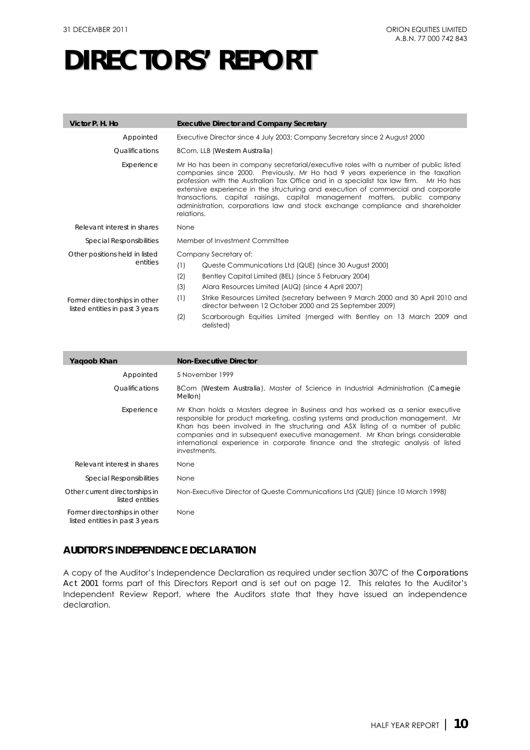| Victor P. H. Ho                                                  | <b>Executive Director and Company Secretary</b>                                                                                                                                                                                                                                                                                                                                                                                                                                                                                    |  |  |  |
|------------------------------------------------------------------|------------------------------------------------------------------------------------------------------------------------------------------------------------------------------------------------------------------------------------------------------------------------------------------------------------------------------------------------------------------------------------------------------------------------------------------------------------------------------------------------------------------------------------|--|--|--|
| Appointed                                                        | Executive Director since 4 July 2003; Company Secretary since 2 August 2000                                                                                                                                                                                                                                                                                                                                                                                                                                                        |  |  |  |
| <i><u><b>Oualifications</b></u></i>                              | BCom, LLB (Western Australia)                                                                                                                                                                                                                                                                                                                                                                                                                                                                                                      |  |  |  |
| Experience                                                       | Mr Ho has been in company secretarial/executive roles with a number of public listed<br>companies since 2000. Previously, Mr Ho had 9 years experience in the taxation<br>profession with the Australian Tax Office and in a specialist tax law firm. Mr Ho has<br>extensive experience in the structuring and execution of commercial and corporate<br>transactions, capital raisings, capital management matters, public company<br>administration, corporations law and stock exchange compliance and shareholder<br>relations. |  |  |  |
| Relevant interest in shares                                      | None                                                                                                                                                                                                                                                                                                                                                                                                                                                                                                                               |  |  |  |
| <i>Special Responsibilities</i>                                  | Member of Investment Committee                                                                                                                                                                                                                                                                                                                                                                                                                                                                                                     |  |  |  |
| Other positions held in listed                                   | Company Secretary of:                                                                                                                                                                                                                                                                                                                                                                                                                                                                                                              |  |  |  |
| entities                                                         | (1)<br>Queste Communications Ltd (QUE) (since 30 August 2000)                                                                                                                                                                                                                                                                                                                                                                                                                                                                      |  |  |  |
|                                                                  | (2)<br>Bentley Capital Limited (BEL) (since 5 February 2004)                                                                                                                                                                                                                                                                                                                                                                                                                                                                       |  |  |  |
|                                                                  | (3)<br>Alara Resources Limited (AUQ) (since 4 April 2007)                                                                                                                                                                                                                                                                                                                                                                                                                                                                          |  |  |  |
| Former directorships in other<br>listed entities in past 3 years | (1)<br>Strike Resources Limited (secretary between 9 March 2000 and 30 April 2010 and<br>director between 12 October 2000 and 25 September 2009)                                                                                                                                                                                                                                                                                                                                                                                   |  |  |  |
|                                                                  | (2)<br>Scarborough Equities Limited (merged with Bentley on 13 March 2009 and<br>delisted)                                                                                                                                                                                                                                                                                                                                                                                                                                         |  |  |  |

| Yagoob Khan                                                      | <b>Non-Executive Director</b>                                                                                                                                                                                                                                                                                                                                                                                                                 |
|------------------------------------------------------------------|-----------------------------------------------------------------------------------------------------------------------------------------------------------------------------------------------------------------------------------------------------------------------------------------------------------------------------------------------------------------------------------------------------------------------------------------------|
| Appointed                                                        | 5 November 1999                                                                                                                                                                                                                                                                                                                                                                                                                               |
| <i><u><b>Oualifications</b></u></i>                              | BCom (Western Australia), Moster of Science in Industrial Administration (Carnegie<br>Mellon)                                                                                                                                                                                                                                                                                                                                                 |
| Experience                                                       | Mr Khan holds a Masters degree in Business and has worked as a senior executive<br>responsible for product marketing, costing systems and production management. Mr<br>Khan has been involved in the structuring and ASX listing of a number of public<br>companies and in subsequent executive management. Mr Khan brings considerable<br>international experience in corporate finance and the strategic analysis of listed<br>investments. |
| Relevant interest in shares                                      | None                                                                                                                                                                                                                                                                                                                                                                                                                                          |
| <i>Special Responsibilities</i>                                  | None                                                                                                                                                                                                                                                                                                                                                                                                                                          |
| Other current directorships in<br>listed entities                | Non-Executive Director of Queste Communications Ltd (QUE) (since 10 March 1998)                                                                                                                                                                                                                                                                                                                                                               |
| Former directorships in other<br>listed entities in past 3 years | None                                                                                                                                                                                                                                                                                                                                                                                                                                          |

## **AUDITOR'S INDEPENDENCE DECLARATION**

A copy of the Auditor's Independence Declaration as required under section 307C of the *Corporations Act 2001* forms part of this Directors Report and is set out on page 12. This relates to the Auditor's Independent Review Report, where the Auditors state that they have issued an independence declaration.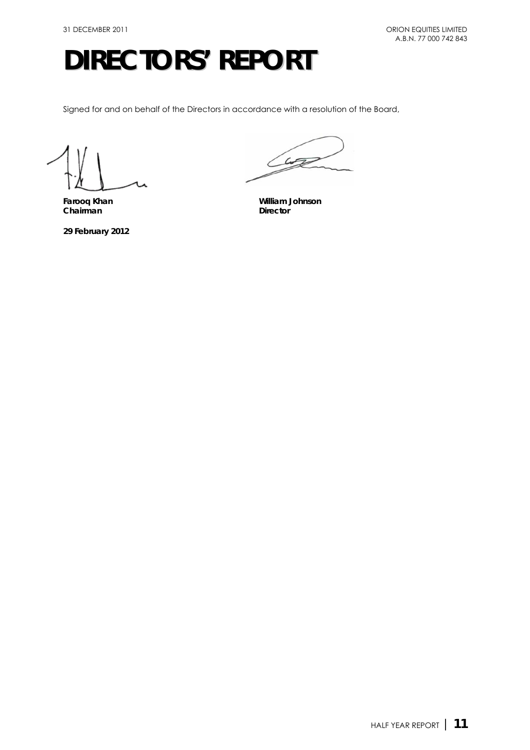Signed for and on behalf of the Directors in accordance with a resolution of the Board,

Chairman

**29 February 2012** 

Lute

**Farooq Khan William Johnson**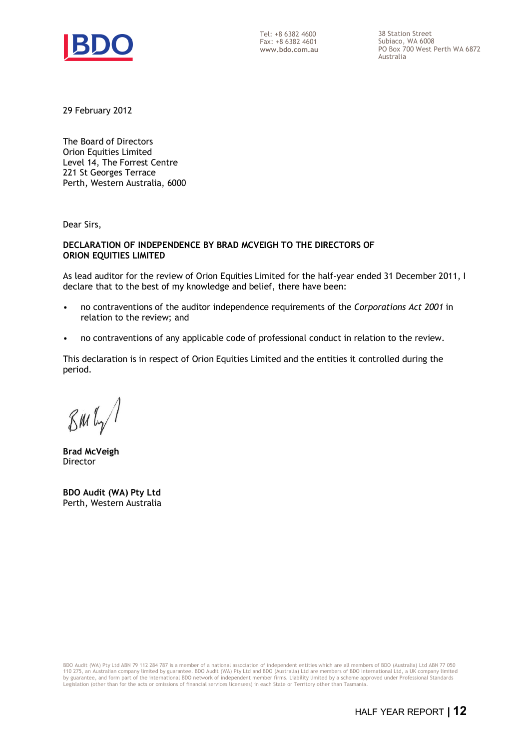

Tel: +8 6382 4600 Fax: +8 6382 4601 **www.bdo.com.au**  38 Station Street Subiaco, WA 6008 PO Box 700 West Perth WA 6872 Australia

29 February 2012

The Board of Directors Orion Equities Limited Level 14, The Forrest Centre 221 St Georges Terrace Perth, Western Australia, 6000

Dear Sirs,

#### **DECLARATION OF INDEPENDENCE BY BRAD MCVEIGH TO THE DIRECTORS OF ORION EQUITIES LIMITED**

As lead auditor for the review of Orion Equities Limited for the half-year ended 31 December 2011, I declare that to the best of my knowledge and belief, there have been:

- no contraventions of the auditor independence requirements of the *Corporations Act 2001* in relation to the review; and
- no contraventions of any applicable code of professional conduct in relation to the review.

This declaration is in respect of Orion Equities Limited and the entities it controlled during the period.

 $\mathcal{B}$ m $\mathfrak{l}_{\gamma}$ /

**Brad McVeigh**  Director

**BDO Audit (WA) Pty Ltd**  Perth, Western Australia

BDO Audit (WA) Pty Ltd ABN 79 112 284 787 is a member of a national association of independent entities which are all members of BDO (Australia) Ltd ABN 77 050 110 275, an Australian company limited by guarantee. BDO Audit (WA) Pty Ltd and BDO (Australia) Ltd are members of BDO International Ltd, a UK company limited<br>by guarantee, and form part of the international BDO network of Legislation (other than for the acts or omissions of financial services licensees) in each State or Territory other than Tasmania.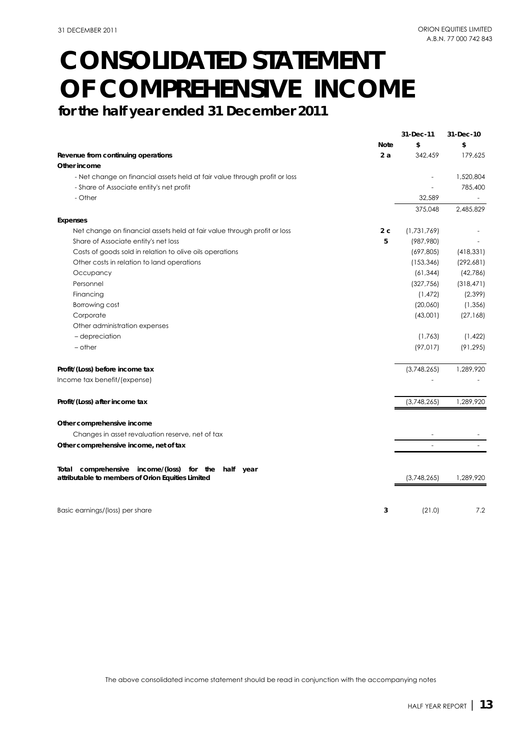## **CONSOLIDATED STATEMENT OF COMPREHENSIVE INCOME**

**for the half year ended 31 December 2011**

|                                                                            |             | 31-Dec-11   | 31-Dec-10  |
|----------------------------------------------------------------------------|-------------|-------------|------------|
|                                                                            | <b>Note</b> | \$          | \$         |
| Revenue from continuing operations                                         | 2a          | 342,459     | 179,625    |
| Other income                                                               |             |             |            |
| - Net change on financial assets held at fair value through profit or loss |             |             | 1,520,804  |
| - Share of Associate entity's net profit                                   |             |             | 785,400    |
| - Other                                                                    |             | 32,589      |            |
|                                                                            |             | 375,048     | 2,485,829  |
| Expenses                                                                   |             |             |            |
| Net change on financial assets held at fair value through profit or loss   | 2c          | (1,731,769) |            |
| Share of Associate entity's net loss                                       | 5           | (987,980)   |            |
| Costs of goods sold in relation to olive oils operations                   |             | (697, 805)  | (418, 331) |
| Other costs in relation to land operations                                 |             | (153, 346)  | (292,681)  |
| Occupancy                                                                  |             | (61, 344)   | (42, 786)  |
| Personnel                                                                  |             | (327, 756)  | (318, 471) |
| Financing                                                                  |             | (1, 472)    | (2,399)    |
| Borrowing cost                                                             |             | (20,060)    | (1, 356)   |
| Corporate                                                                  |             | (43,001)    | (27, 168)  |
| Other administration expenses                                              |             |             |            |
| - depreciation                                                             |             | (1,763)     | (1, 422)   |
| $-$ other                                                                  |             | (97, 017)   | (91, 295)  |
|                                                                            |             |             |            |
| Profit/(Loss) before income tax                                            |             | (3,748,265) | 1,289,920  |
| Income tax benefit/(expense)                                               |             |             |            |
|                                                                            |             |             |            |
| Profit/(Loss) after income tax                                             |             | (3,748,265) | 1,289,920  |
|                                                                            |             |             |            |
| Other comprehensive income                                                 |             |             |            |
| Changes in asset revaluation reserve, net of tax                           |             |             |            |
| Other comprehensive income, net of tax                                     |             |             |            |
|                                                                            |             |             |            |
| comprehensive income/(loss) for the<br>Total                               |             |             |            |
| half year<br>attributable to members of Orion Equities Limited             |             | (3,748,265) | 1,289,920  |
|                                                                            |             |             |            |
|                                                                            |             |             |            |
| Basic earnings/(loss) per share                                            | 3           | (21.0)      | 7.2        |
|                                                                            |             |             |            |

The above consolidated income statement should be read in conjunction with the accompanying notes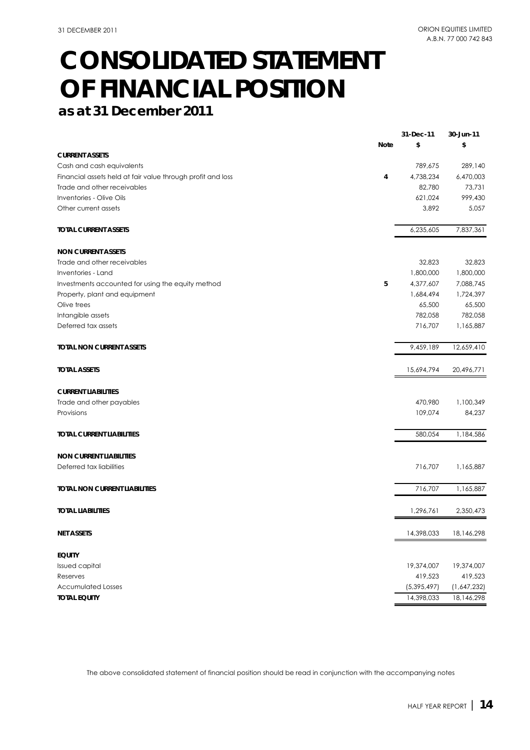## **CONSOLIDATED STATEMENT OF FINANCIAL POSITION**

**as at 31 December 2011**

| \$<br><b>Note</b><br>\$<br><b>CURRENT ASSETS</b><br>Cash and cash equivalents<br>789,675<br>289,140<br>6,470,003<br>Financial assets held at fair value through profit and loss<br>4<br>4,738,234<br>82,780<br>73,731<br>Trade and other receivables<br>999,430<br>Inventories - Olive Oils<br>621,024<br>Other current assets<br>3,892<br>5,057<br>6,235,605<br>7,837,361<br><b>TOTAL CURRENT ASSETS</b><br><b>NON CURRENT ASSETS</b><br>Trade and other receivables<br>32,823<br>32,823<br>1,800,000<br>1,800,000<br>Inventories - Land<br>5<br>4,377,607<br>7,088,745<br>Investments accounted for using the equity method<br>Property, plant and equipment<br>1,684,494<br>1,724,397<br>65,500<br>65,500<br>Olive trees<br>Intangible assets<br>782,058<br>782,058<br>Deferred tax assets<br>716,707<br>1,165,887<br>9,459,189<br>12,659,410<br><b>TOTAL NON CURRENT ASSETS</b><br><b>TOTAL ASSETS</b><br>15,694,794<br>20,496,771<br><b>CURRENT LIABILITIES</b><br>470,980<br>Trade and other payables<br>1,100,349<br>109,074<br>Provisions<br>84,237<br>580,054<br>1,184,586<br><b>TOTAL CURRENT LIABILITIES</b><br><b>NON CURRENT LIABILITIES</b><br>Deferred tax liabilities<br>716,707<br>1,165,887<br>716,707<br>1,165,887<br><b>TOTAL NON CURRENT LIABILITIES</b><br><b>TOTAL LIABILITIES</b><br>1,296,761<br>2,350,473<br>14,398,033<br><b>NET ASSETS</b><br>18,146,298<br><b>EQUITY</b><br>Issued capital<br>19,374,007<br>19,374,007<br>419,523<br>419,523<br>Reserves<br><b>Accumulated Losses</b><br>(5,395,497)<br>(1,647,232)<br><b>TOTAL EQUITY</b><br>14,398,033<br>18,146,298 |  | 31-Dec-11 | 30-Jun-11 |
|-----------------------------------------------------------------------------------------------------------------------------------------------------------------------------------------------------------------------------------------------------------------------------------------------------------------------------------------------------------------------------------------------------------------------------------------------------------------------------------------------------------------------------------------------------------------------------------------------------------------------------------------------------------------------------------------------------------------------------------------------------------------------------------------------------------------------------------------------------------------------------------------------------------------------------------------------------------------------------------------------------------------------------------------------------------------------------------------------------------------------------------------------------------------------------------------------------------------------------------------------------------------------------------------------------------------------------------------------------------------------------------------------------------------------------------------------------------------------------------------------------------------------------------------------------------------------------------------------------|--|-----------|-----------|
|                                                                                                                                                                                                                                                                                                                                                                                                                                                                                                                                                                                                                                                                                                                                                                                                                                                                                                                                                                                                                                                                                                                                                                                                                                                                                                                                                                                                                                                                                                                                                                                                     |  |           |           |
|                                                                                                                                                                                                                                                                                                                                                                                                                                                                                                                                                                                                                                                                                                                                                                                                                                                                                                                                                                                                                                                                                                                                                                                                                                                                                                                                                                                                                                                                                                                                                                                                     |  |           |           |
|                                                                                                                                                                                                                                                                                                                                                                                                                                                                                                                                                                                                                                                                                                                                                                                                                                                                                                                                                                                                                                                                                                                                                                                                                                                                                                                                                                                                                                                                                                                                                                                                     |  |           |           |
|                                                                                                                                                                                                                                                                                                                                                                                                                                                                                                                                                                                                                                                                                                                                                                                                                                                                                                                                                                                                                                                                                                                                                                                                                                                                                                                                                                                                                                                                                                                                                                                                     |  |           |           |
|                                                                                                                                                                                                                                                                                                                                                                                                                                                                                                                                                                                                                                                                                                                                                                                                                                                                                                                                                                                                                                                                                                                                                                                                                                                                                                                                                                                                                                                                                                                                                                                                     |  |           |           |
|                                                                                                                                                                                                                                                                                                                                                                                                                                                                                                                                                                                                                                                                                                                                                                                                                                                                                                                                                                                                                                                                                                                                                                                                                                                                                                                                                                                                                                                                                                                                                                                                     |  |           |           |
|                                                                                                                                                                                                                                                                                                                                                                                                                                                                                                                                                                                                                                                                                                                                                                                                                                                                                                                                                                                                                                                                                                                                                                                                                                                                                                                                                                                                                                                                                                                                                                                                     |  |           |           |
|                                                                                                                                                                                                                                                                                                                                                                                                                                                                                                                                                                                                                                                                                                                                                                                                                                                                                                                                                                                                                                                                                                                                                                                                                                                                                                                                                                                                                                                                                                                                                                                                     |  |           |           |
|                                                                                                                                                                                                                                                                                                                                                                                                                                                                                                                                                                                                                                                                                                                                                                                                                                                                                                                                                                                                                                                                                                                                                                                                                                                                                                                                                                                                                                                                                                                                                                                                     |  |           |           |
|                                                                                                                                                                                                                                                                                                                                                                                                                                                                                                                                                                                                                                                                                                                                                                                                                                                                                                                                                                                                                                                                                                                                                                                                                                                                                                                                                                                                                                                                                                                                                                                                     |  |           |           |
|                                                                                                                                                                                                                                                                                                                                                                                                                                                                                                                                                                                                                                                                                                                                                                                                                                                                                                                                                                                                                                                                                                                                                                                                                                                                                                                                                                                                                                                                                                                                                                                                     |  |           |           |
|                                                                                                                                                                                                                                                                                                                                                                                                                                                                                                                                                                                                                                                                                                                                                                                                                                                                                                                                                                                                                                                                                                                                                                                                                                                                                                                                                                                                                                                                                                                                                                                                     |  |           |           |
|                                                                                                                                                                                                                                                                                                                                                                                                                                                                                                                                                                                                                                                                                                                                                                                                                                                                                                                                                                                                                                                                                                                                                                                                                                                                                                                                                                                                                                                                                                                                                                                                     |  |           |           |
|                                                                                                                                                                                                                                                                                                                                                                                                                                                                                                                                                                                                                                                                                                                                                                                                                                                                                                                                                                                                                                                                                                                                                                                                                                                                                                                                                                                                                                                                                                                                                                                                     |  |           |           |
|                                                                                                                                                                                                                                                                                                                                                                                                                                                                                                                                                                                                                                                                                                                                                                                                                                                                                                                                                                                                                                                                                                                                                                                                                                                                                                                                                                                                                                                                                                                                                                                                     |  |           |           |
|                                                                                                                                                                                                                                                                                                                                                                                                                                                                                                                                                                                                                                                                                                                                                                                                                                                                                                                                                                                                                                                                                                                                                                                                                                                                                                                                                                                                                                                                                                                                                                                                     |  |           |           |
|                                                                                                                                                                                                                                                                                                                                                                                                                                                                                                                                                                                                                                                                                                                                                                                                                                                                                                                                                                                                                                                                                                                                                                                                                                                                                                                                                                                                                                                                                                                                                                                                     |  |           |           |
|                                                                                                                                                                                                                                                                                                                                                                                                                                                                                                                                                                                                                                                                                                                                                                                                                                                                                                                                                                                                                                                                                                                                                                                                                                                                                                                                                                                                                                                                                                                                                                                                     |  |           |           |
|                                                                                                                                                                                                                                                                                                                                                                                                                                                                                                                                                                                                                                                                                                                                                                                                                                                                                                                                                                                                                                                                                                                                                                                                                                                                                                                                                                                                                                                                                                                                                                                                     |  |           |           |
|                                                                                                                                                                                                                                                                                                                                                                                                                                                                                                                                                                                                                                                                                                                                                                                                                                                                                                                                                                                                                                                                                                                                                                                                                                                                                                                                                                                                                                                                                                                                                                                                     |  |           |           |
|                                                                                                                                                                                                                                                                                                                                                                                                                                                                                                                                                                                                                                                                                                                                                                                                                                                                                                                                                                                                                                                                                                                                                                                                                                                                                                                                                                                                                                                                                                                                                                                                     |  |           |           |
|                                                                                                                                                                                                                                                                                                                                                                                                                                                                                                                                                                                                                                                                                                                                                                                                                                                                                                                                                                                                                                                                                                                                                                                                                                                                                                                                                                                                                                                                                                                                                                                                     |  |           |           |
|                                                                                                                                                                                                                                                                                                                                                                                                                                                                                                                                                                                                                                                                                                                                                                                                                                                                                                                                                                                                                                                                                                                                                                                                                                                                                                                                                                                                                                                                                                                                                                                                     |  |           |           |
|                                                                                                                                                                                                                                                                                                                                                                                                                                                                                                                                                                                                                                                                                                                                                                                                                                                                                                                                                                                                                                                                                                                                                                                                                                                                                                                                                                                                                                                                                                                                                                                                     |  |           |           |
|                                                                                                                                                                                                                                                                                                                                                                                                                                                                                                                                                                                                                                                                                                                                                                                                                                                                                                                                                                                                                                                                                                                                                                                                                                                                                                                                                                                                                                                                                                                                                                                                     |  |           |           |
|                                                                                                                                                                                                                                                                                                                                                                                                                                                                                                                                                                                                                                                                                                                                                                                                                                                                                                                                                                                                                                                                                                                                                                                                                                                                                                                                                                                                                                                                                                                                                                                                     |  |           |           |
|                                                                                                                                                                                                                                                                                                                                                                                                                                                                                                                                                                                                                                                                                                                                                                                                                                                                                                                                                                                                                                                                                                                                                                                                                                                                                                                                                                                                                                                                                                                                                                                                     |  |           |           |
|                                                                                                                                                                                                                                                                                                                                                                                                                                                                                                                                                                                                                                                                                                                                                                                                                                                                                                                                                                                                                                                                                                                                                                                                                                                                                                                                                                                                                                                                                                                                                                                                     |  |           |           |
|                                                                                                                                                                                                                                                                                                                                                                                                                                                                                                                                                                                                                                                                                                                                                                                                                                                                                                                                                                                                                                                                                                                                                                                                                                                                                                                                                                                                                                                                                                                                                                                                     |  |           |           |
|                                                                                                                                                                                                                                                                                                                                                                                                                                                                                                                                                                                                                                                                                                                                                                                                                                                                                                                                                                                                                                                                                                                                                                                                                                                                                                                                                                                                                                                                                                                                                                                                     |  |           |           |
|                                                                                                                                                                                                                                                                                                                                                                                                                                                                                                                                                                                                                                                                                                                                                                                                                                                                                                                                                                                                                                                                                                                                                                                                                                                                                                                                                                                                                                                                                                                                                                                                     |  |           |           |
|                                                                                                                                                                                                                                                                                                                                                                                                                                                                                                                                                                                                                                                                                                                                                                                                                                                                                                                                                                                                                                                                                                                                                                                                                                                                                                                                                                                                                                                                                                                                                                                                     |  |           |           |

The above consolidated statement of financial position should be read in conjunction with the accompanying notes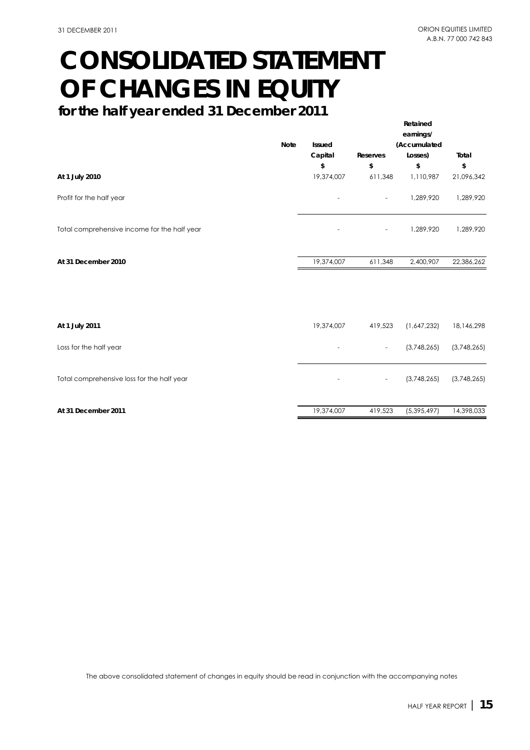**Retained**

## **CONSOLIDATED STATEMENT OF CHANGES IN EQUITY**

**for the half year ended 31 December 2011**

|                                              | <b>Note</b> | <b>Issued</b><br>Capital | Reserves                 | earnings/<br>(Accumulated<br>Losses) | Total            |
|----------------------------------------------|-------------|--------------------------|--------------------------|--------------------------------------|------------------|
| At 1 July 2010                               |             | \$<br>19,374,007         | \$<br>611,348            | \$<br>1,110,987                      | \$<br>21,096,342 |
| Profit for the half year                     |             |                          |                          | 1,289,920                            | 1,289,920        |
| Total comprehensive income for the half year |             |                          | $\overline{\phantom{a}}$ | 1,289,920                            | 1,289,920        |
| At 31 December 2010                          |             | 19,374,007               | 611,348                  | 2,400,907                            | 22,386,262       |
|                                              |             |                          |                          |                                      |                  |
| At 1 July 2011                               |             | 19,374,007               | 419,523                  | (1,647,232)                          | 18,146,298       |
| Loss for the half year                       |             |                          | $\overline{\phantom{a}}$ | (3,748,265)                          | (3,748,265)      |
| Total comprehensive loss for the half year   |             |                          |                          | (3,748,265)                          | (3,748,265)      |
| At 31 December 2011                          |             | 19,374,007               | 419,523                  | (5, 395, 497)                        | 14,398,033       |

The above consolidated statement of changes in equity should be read in conjunction with the accompanying notes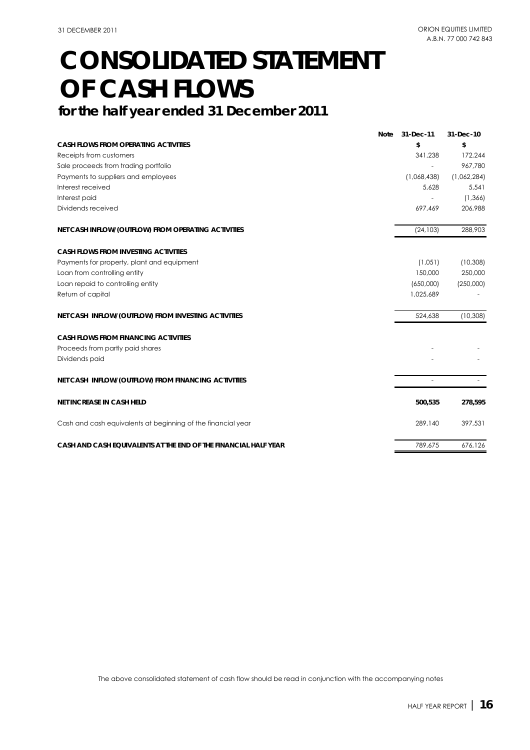## **CONSOLIDATED STATEMENT OF CASH FLOWS**

## **for the half year ended 31 December 2011**

|                                                                 | <b>Note</b> | 31-Dec-11   | 31-Dec-10   |
|-----------------------------------------------------------------|-------------|-------------|-------------|
| <b>CASH FLOWS FROM OPERATING ACTIVITIES</b>                     |             | \$          | \$          |
| Receipts from customers                                         |             | 341,238     | 172,244     |
| Sale proceeds from trading portfolio                            |             |             | 967,780     |
| Payments to suppliers and employees                             |             | (1,068,438) | (1,062,284) |
| Interest received                                               |             | 5.628       | 5.541       |
| Interest paid                                                   |             |             | (1, 366)    |
| Dividends received                                              |             | 697,469     | 206,988     |
| NET CASH INFLOW/(OUTFLOW) FROM OPERATING ACTIVITIES             |             | (24, 103)   | 288,903     |
| <b>CASH FLOWS FROM INVESTING ACTIVITIES</b>                     |             |             |             |
| Payments for property, plant and equipment                      |             | (1,051)     | (10, 308)   |
| Loan from controlling entity                                    |             | 150,000     | 250,000     |
| Loan repaid to controlling entity                               |             | (650,000)   | (250,000)   |
| Return of capital                                               |             | 1,025,689   |             |
| NET CASH INFLOW/(OUTFLOW) FROM INVESTING ACTIVITIES             |             | 524,638     | (10, 308)   |
| <b>CASH FLOWS FROM FINANCING ACTIVITIES</b>                     |             |             |             |
| Proceeds from partly paid shares                                |             |             |             |
| Dividends paid                                                  |             |             |             |
| NET CASH INFLOW/(OUTFLOW) FROM FINANCING ACTIVITIES             |             |             |             |
| NET INCREASE IN CASH HELD                                       |             | 500,535     | 278,595     |
| Cash and cash equivalents at beginning of the financial year    |             | 289,140     | 397,531     |
| CASH AND CASH EQUIVALENTS AT THE END OF THE FINANCIAL HALF YEAR |             | 789,675     | 676.126     |

The above consolidated statement of cash flow should be read in conjunction with the accompanying notes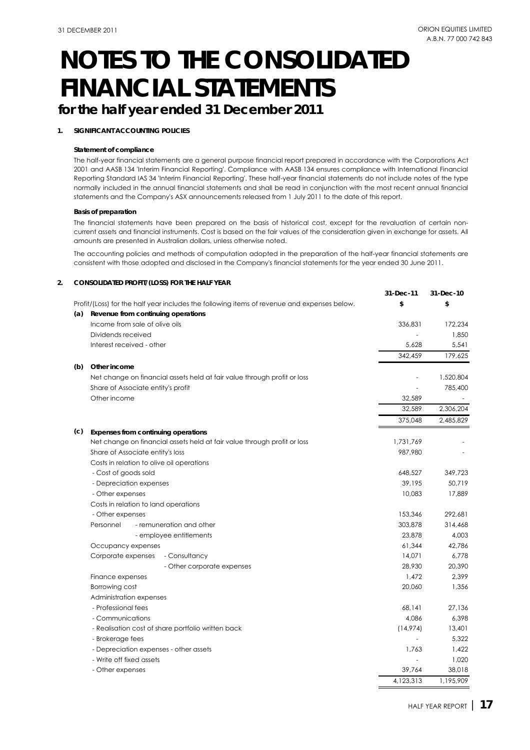## **for the half year ended 31 December 2011**

#### **1. SIGNIFICANT ACCOUNTING POLICIES**

#### **Statement of compliance**

The half-year financial statements are a general purpose financial report prepared in accordance with the Corporations Act 2001 and AASB 134 'Interim Financial Reporting'. Compliance with AASB 134 ensures compliance with International Financial Reporting Standard IAS 34 'Interim Financial Reporting'. These half-year financial statements do not include notes of the type normally included in the annual financial statements and shall be read in conjunction with the most recent annual financial statements and the Company's ASX announcements released from 1 July 2011 to the date of this report.

#### **Basis of preparation**

The financial statements have been prepared on the basis of historical cost, except for the revaluation of certain noncurrent assets and financial instruments. Cost is based on the fair values of the consideration given in exchange for assets. All amounts are presented in Australian dollars, unless otherwise noted.

The accounting policies and methods of computation adopted in the preparation of the half-year financial statements are consistent with those adopted and disclosed in the Company's financial statements for the year ended 30 June 2011.

#### **2. CONSOLIDATED PROFIT/(LOSS) FOR THE HALF YEAR**

|     |                                                                                             | 31-Dec-11 | 31-Dec-10 |
|-----|---------------------------------------------------------------------------------------------|-----------|-----------|
|     | Profit/(Loss) for the half year includes the following items of revenue and expenses below. | \$        | \$        |
| (a) | Revenue from continuing operations                                                          |           |           |
|     | Income from sale of olive oils                                                              | 336,831   | 172,234   |
|     | Dividends received                                                                          |           | 1,850     |
|     | Interest received - other                                                                   | 5.628     | 5.541     |
|     |                                                                                             | 342,459   | 179,625   |
| (b) | Other income                                                                                |           |           |
|     | Net change on financial assets held at fair value through profit or loss                    |           | 1,520,804 |
|     | Share of Associate entity's profit                                                          |           | 785,400   |
|     | Other income                                                                                | 32,589    |           |
|     |                                                                                             | 32,589    | 2,306,204 |
|     |                                                                                             | 375,048   | 2,485,829 |
| (c) | Expenses from continuing operations                                                         |           |           |
|     | Net change on financial assets held at fair value through profit or loss                    | 1,731,769 |           |
|     | Share of Associate entity's loss                                                            | 987,980   |           |
|     | Costs in relation to olive oil operations                                                   |           |           |
|     | - Cost of goods sold                                                                        | 648,527   | 349,723   |
|     | - Depreciation expenses                                                                     | 39,195    | 50,719    |
|     | - Other expenses                                                                            | 10,083    | 17,889    |
|     | Costs in relation to land operations                                                        |           |           |
|     | - Other expenses                                                                            | 153,346   | 292.681   |
|     | - remuneration and other<br>Personnel                                                       | 303,878   | 314,468   |
|     | - employee entitlements                                                                     | 23,878    | 4,003     |
|     | Occupancy expenses                                                                          | 61,344    | 42,786    |
|     | Corporate expenses<br>- Consultancy                                                         | 14,071    | 6,778     |
|     | - Other corporate expenses                                                                  | 28,930    | 20,390    |
|     | Finance expenses                                                                            | 1,472     | 2,399     |
|     | Borrowing cost                                                                              | 20,060    | 1,356     |
|     | Administration expenses                                                                     |           |           |
|     | - Professional fees                                                                         | 68,141    | 27,136    |
|     | - Communications                                                                            | 4,086     | 6,398     |
|     | - Realisation cost of share portfolio written back                                          | (14,974)  | 13,401    |
|     | - Brokerage fees                                                                            |           | 5,322     |
|     | - Depreciation expenses - other assets                                                      | 1,763     | 1,422     |
|     | - Write off fixed assets                                                                    | ÷,        | 1,020     |
|     | - Other expenses                                                                            | 39,764    | 38,018    |
|     |                                                                                             | 4,123,313 | 1,195,909 |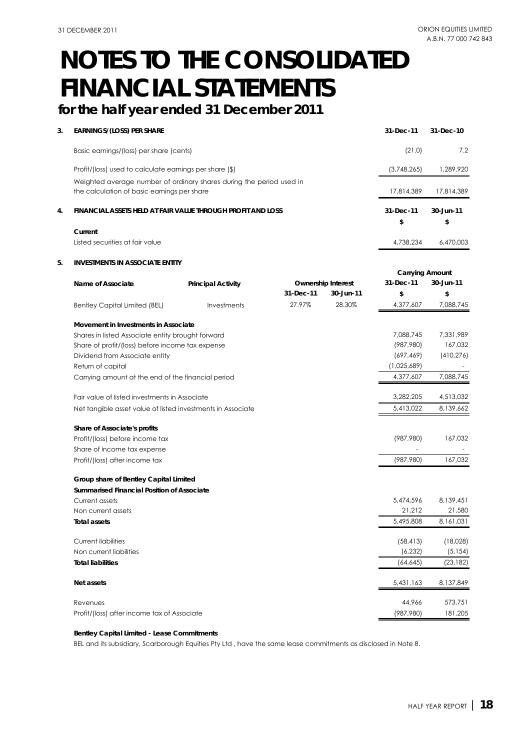## **for the half year ended 31 December 2011**

| 3. | <b>EARNINGS/(LOSS) PER SHARE</b>                                     |                           |           |                           | 31-Dec-11              | 31-Dec-10  |
|----|----------------------------------------------------------------------|---------------------------|-----------|---------------------------|------------------------|------------|
|    | Basic earnings/(loss) per share (cents)                              |                           |           |                           | (21.0)                 | 7.2        |
|    | Profit/(loss) used to calculate earnings per share (\$)              |                           |           |                           | (3,748,265)            | 1,289,920  |
|    | Weighted average number of ordinary shares during the period used in |                           |           |                           |                        |            |
|    | the calculation of basic earnings per share                          |                           |           |                           | 17,814,389             | 17,814,389 |
| 4. | FINANCIAL ASSETS HELD AT FAIR VALUE THROUGH PROFIT AND LOSS          |                           |           |                           | 31-Dec-11              | 30-Jun-11  |
|    |                                                                      |                           |           |                           | \$                     | \$         |
|    | Current                                                              |                           |           |                           |                        |            |
|    | Listed securities at fair value                                      |                           |           |                           | 4,738,234              | 6,470,003  |
| 5. | <b>INVESTMENTS IN ASSOCIATE ENTITY</b>                               |                           |           |                           |                        |            |
|    |                                                                      |                           |           |                           | <b>Carrying Amount</b> |            |
|    | Name of Associate                                                    | <b>Principal Activity</b> |           | <b>Ownership Interest</b> | 31-Dec-11              | 30-Jun-11  |
|    |                                                                      |                           | 31-Dec-11 | 30-Jun-11                 | \$                     | \$         |
|    | <b>Bentley Capital Limited (BEL)</b>                                 | Investments               | 27.97%    | 28.30%                    | 4,377,607              | 7,088,745  |
|    | Movement in Investments in Associate                                 |                           |           |                           |                        |            |
|    | Shares in listed Associate entity brought forward                    |                           |           |                           | 7,088,745              | 7,331,989  |
|    | Share of profit/(loss) before income tax expense                     |                           |           |                           | (987, 980)             | 167,032    |
|    | Dividend from Associate entity                                       |                           |           |                           | (697, 469)             | (410, 276) |
|    | Return of capital                                                    |                           |           |                           | (1,025,689)            |            |
|    | Carrying amount at the end of the financial period                   |                           |           |                           | 4,377,607              | 7,088,745  |
|    | Fair value of listed investments in Associate                        |                           |           |                           | 3,282,205              | 4,513,032  |
|    | Net tangible asset value of listed investments in Associate          |                           |           |                           | 5,413,022              | 8,139,662  |
|    | Share of Associate's profits                                         |                           |           |                           |                        |            |
|    | Profit/(loss) before income tax                                      |                           |           |                           | (987,980)              | 167,032    |
|    | Share of income tax expense                                          |                           |           |                           |                        |            |
|    | Profit/(loss) after income tax                                       |                           |           |                           | (987, 980)             | 167,032    |
|    |                                                                      |                           |           |                           |                        |            |
|    | Group share of Bentley Capital Limited                               |                           |           |                           |                        |            |
|    | <b>Summarised Financial Position of Associate</b>                    |                           |           |                           |                        |            |
|    | Current assets                                                       |                           |           |                           | 5,474,596              | 8,139,451  |
|    | Non current assets                                                   |                           |           |                           | 21,212                 | 21,580     |
|    | <b>Total assets</b>                                                  |                           |           |                           | 5,495,808              | 8,161,031  |
|    | <b>Current liabilities</b>                                           |                           |           |                           | (58, 413)              | (18,028)   |
|    | Non current liabilities                                              |                           |           |                           | (6, 232)               | (5, 154)   |
|    | <b>Total liabilities</b>                                             |                           |           |                           | (64, 645)              | (23, 182)  |
|    | Net assets                                                           |                           |           |                           | 5,431,163              | 8,137,849  |
|    | Revenues                                                             |                           |           |                           | 44,966                 | 573,751    |
|    | Profit/(loss) after income tax of Associate                          |                           |           |                           | (987, 980)             | 181,205    |

### **Bentley Capital Limited - Lease Commitments**

BEL and its subsidiary, Scarborough Equities Pty Ltd , have the same lease commitments as disclosed in Note 8.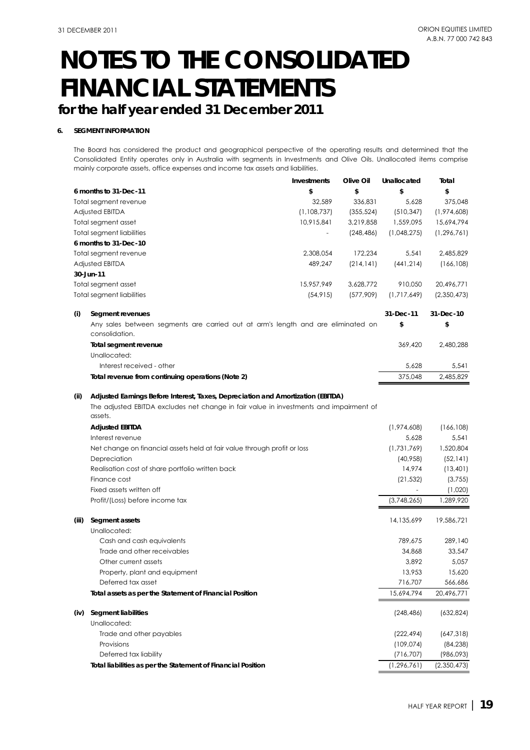## **for the half year ended 31 December 2011**

#### **6. SEGMENT INFORMATION**

The Board has considered the product and geographical perspective of the operating results and determined that the Consolidated Entity operates only in Australia with segments in Investments and Olive Oils. Unallocated items comprise mainly corporate assets, office expenses and income tax assets and liabilities.

|       |                                                                                                    | <b>Investments</b> | Olive Oil  | Unallocated   | Total         |
|-------|----------------------------------------------------------------------------------------------------|--------------------|------------|---------------|---------------|
|       | 6 months to 31-Dec-11                                                                              | \$                 | \$         | \$            | \$            |
|       | Total segment revenue                                                                              | 32,589             | 336,831    | 5,628         | 375,048       |
|       | Adjusted EBITDA                                                                                    | (1,108,737)        | (355, 524) | (510, 347)    | (1,974,608)   |
|       | Total segment asset                                                                                | 10,915,841         | 3,219,858  | 1,559,095     | 15,694,794    |
|       | <b>Total segment liabilities</b>                                                                   |                    | (248, 486) | (1,048,275)   | (1, 296, 761) |
|       | 6 months to 31-Dec-10                                                                              |                    |            |               |               |
|       | Total segment revenue                                                                              | 2,308,054          | 172,234    | 5,541         | 2,485,829     |
|       | Adjusted EBITDA                                                                                    | 489,247            | (214, 141) | (441, 214)    | (166, 108)    |
|       | 30-Jun-11                                                                                          |                    |            |               |               |
|       | Total segment asset                                                                                | 15,957,949         | 3,628,772  | 910,050       | 20,496,771    |
|       | <b>Total segment liabilities</b>                                                                   | (54, 915)          | (577,909)  | (1,717,649)   | (2,350,473)   |
| (i)   | Segment revenues                                                                                   |                    |            | 31-Dec-11     | 31-Dec-10     |
|       | Any sales between segments are carried out at arm's length and are eliminated on<br>consolidation. |                    |            | \$            | \$            |
|       | Total segment revenue                                                                              |                    |            | 369,420       | 2,480,288     |
|       | Unallocated:                                                                                       |                    |            |               |               |
|       | Interest received - other                                                                          |                    |            | 5,628         | 5,541         |
|       | Total revenue from continuing operations (Note 2)                                                  |                    |            | 375,048       | 2,485,829     |
| (ii)  | Adjusted Earnings Before Interest, Taxes, Depreciation and Amortization (EBITDA)                   |                    |            |               |               |
|       | The adjusted EBITDA excludes net change in fair value in investments and impairment of<br>assets.  |                    |            |               |               |
|       | <b>Adjusted EBITDA</b>                                                                             |                    |            | (1,974,608)   | (166, 108)    |
|       | Interest revenue                                                                                   |                    |            | 5,628         | 5,541         |
|       | Net change on financial assets held at fair value through profit or loss                           |                    |            | (1,731,769)   | 1,520,804     |
|       | Depreciation                                                                                       |                    |            | (40,958)      | (52, 141)     |
|       | Realisation cost of share portfolio written back                                                   |                    |            | 14,974        | (13, 401)     |
|       | Finance cost                                                                                       |                    |            | (21, 532)     | (3,755)       |
|       | Fixed assets written off                                                                           |                    |            |               | (1,020)       |
|       | Profit/(Loss) before income tax                                                                    |                    |            | (3,748,265)   | 1,289,920     |
| (iii) | Segment assets                                                                                     |                    |            | 14,135,699    | 19,586,721    |
|       | Unallocated:                                                                                       |                    |            |               |               |
|       | Cash and cash equivalents                                                                          |                    |            | 789,675       | 289,140       |
|       | Trade and other receivables                                                                        |                    |            | 34,868        | 33,547        |
|       | Other current assets                                                                               |                    |            | 3,892         | 5,057         |
|       | Property, plant and equipment                                                                      |                    |            | 13,953        | 15,620        |
|       | Deferred tax asset                                                                                 |                    |            | 716,707       | 566,686       |
|       | Total assets as per the Statement of Financial Position                                            |                    |            | 15,694,794    | 20,496,771    |
| (iv)  | Segment liabilities                                                                                |                    |            | (248, 486)    | (632, 824)    |
|       | Unallocated:                                                                                       |                    |            |               |               |
|       | Trade and other payables                                                                           |                    |            | (222, 494)    | (647, 318)    |
|       | Provisions                                                                                         |                    |            | (109, 074)    | (84, 238)     |
|       | Deferred tax liability                                                                             |                    |            | (716, 707)    | (986,093)     |
|       | Total liabilities as per the Statement of Financial Position                                       |                    |            | (1, 296, 761) | (2,350,473)   |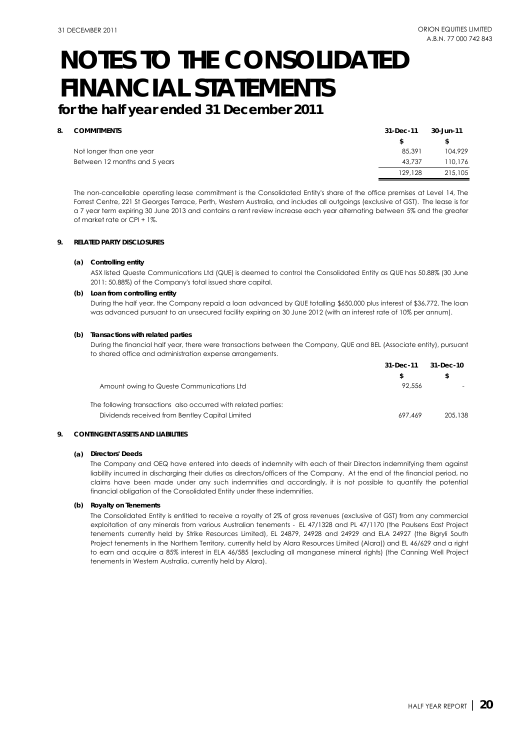**for the half year ended 31 December 2011**

#### **8. COMMITMENTS**

| <b>COMMITMENTS</b>            | 31-Dec-11 | 30-Jun-11 |
|-------------------------------|-----------|-----------|
|                               |           |           |
| Not longer than one year      | 85,391    | 104.929   |
| Between 12 months and 5 years | 43.737    | 110,176   |
|                               | 129.128   | 215,105   |

The non-cancellable operating lease commitment is the Consolidated Entity's share of the office premises at Level 14, The Forrest Centre, 221 St Georges Terrace, Perth, Western Australia, and includes all outgoings (exclusive of GST). The lease is for a 7 year term expiring 30 June 2013 and contains a rent review increase each year alternating between 5% and the greater of market rate or CPI + 1%.

#### **9. RELATED PARTY DISCLOSURES**

#### **(a) Controlling entity**

ASX listed Queste Communications Ltd (QUE) is deemed to control the Consolidated Entity as QUE has 50.88% (30 June 2011: 50.88%) of the Company's total issued share capital.

#### **(b) Loan from controlling entity**

During the half year, the Company repaid a loan advanced by QUE totalling \$650,000 plus interest of \$36,772. The loan was advanced pursuant to an unsecured facility expiring on 30 June 2012 (with an interest rate of 10% per annum).

#### **(b) Transactions with related parties**

During the financial half year, there were transactions between the Company, QUE and BEL (Associate entity), pursuant to shared office and administration expense arrangements.

| 31-Dec-11 | 31-Dec-10 |
|-----------|-----------|
|           |           |
| 92,556    |           |
|           |           |
| 697.469   | 205,138   |
|           |           |

#### **9. CONTINGENT ASSETS AND LIABILITIES**

#### **(a) Directors' Deeds**

The Company and OEQ have entered into deeds of indemnity with each of their Directors indemnifying them against liability incurred in discharging their duties as directors/officers of the Company. At the end of the financial period, no claims have been made under any such indemnities and accordingly, it is not possible to quantify the potential financial obligation of the Consolidated Entity under these indemnities.

#### **(b) Royalty on Tenements**

The Consolidated Entity is entitled to receive a royalty of 2% of gross revenues (exclusive of GST) from any commercial exploitation of any minerals from various Australian tenements - EL 47/1328 and PL 47/1170 (the Paulsens East Project tenements currently held by Strike Resources Limited), EL 24879, 24928 and 24929 and ELA 24927 (the Bigryli South Project tenements in the Northern Territory, currently held by Alara Resources Limited (Alara)) and EL 46/629 and a right to earn and acquire a 85% interest in ELA 46/585 (excluding all manganese mineral rights) (the Canning Well Project tenements in Western Australia, currently held by Alara).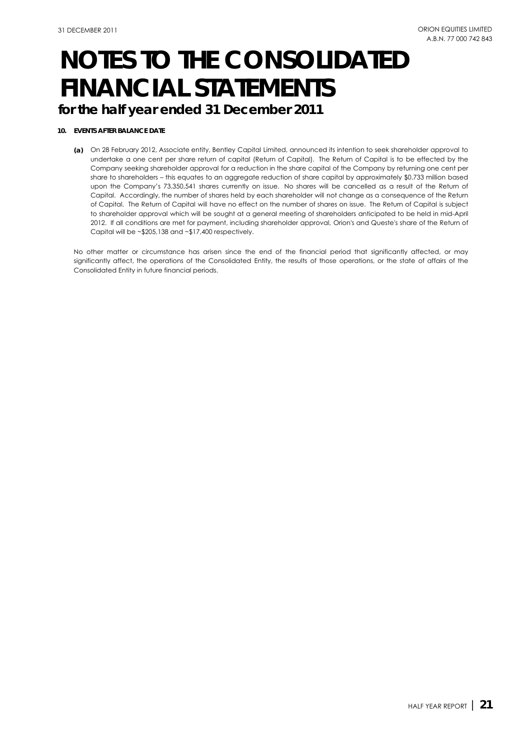## **for the half year ended 31 December 2011**

#### **10. EVENTS AFTER BALANCE DATE**

**(a)** On 28 February 2012, Associate entity, Bentley Capital Limited, announced its intention to seek shareholder approval to undertake a one cent per share return of capital (Return of Capital). The Return of Capital is to be effected by the Company seeking shareholder approval for a reduction in the share capital of the Company by returning one cent per share to shareholders – this equates to an aggregate reduction of share capital by approximately \$0.733 million based upon the Company's 73,350,541 shares currently on issue. No shares will be cancelled as a result of the Return of Capital. Accordingly, the number of shares held by each shareholder will not change as a consequence of the Return of Capital. The Return of Capital will have no effect on the number of shares on issue. The Return of Capital is subject to shareholder approval which will be sought at a general meeting of shareholders anticipated to be held in mid-April 2012. If all conditions are met for payment, including shareholder approval, Orion's and Queste's share of the Return of Capital will be ~\$205,138 and ~\$17,400 respectively.

No other matter or circumstance has arisen since the end of the financial period that significantly affected, or may significantly affect, the operations of the Consolidated Entity, the results of those operations, or the state of affairs of the Consolidated Entity in future financial periods.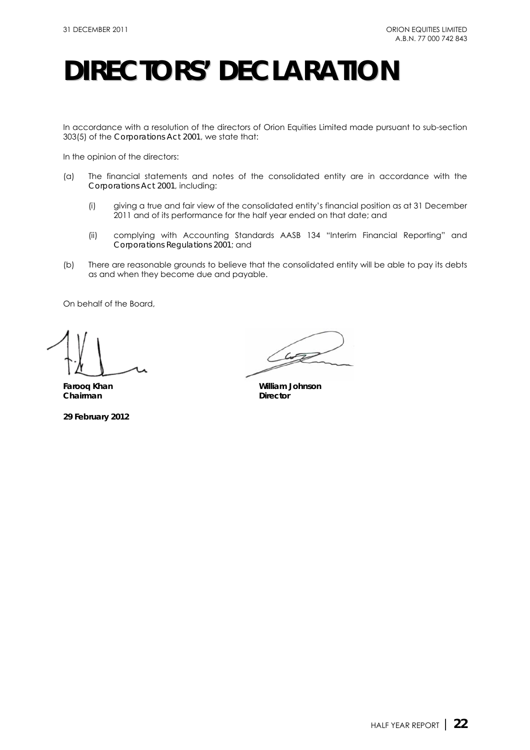# **DIRECTORS' DECLARATION**

In accordance with a resolution of the directors of Orion Equities Limited made pursuant to sub-section 303(5) of the *Corporations Act 2001*, we state that:

In the opinion of the directors:

- (a) The financial statements and notes of the consolidated entity are in accordance with the *Corporations Act 2001*, including:
	- (i) giving a true and fair view of the consolidated entity's financial position as at 31 December 2011 and of its performance for the half year ended on that date; and
	- (ii) complying with Accounting Standards AASB 134 "Interim Financial Reporting" and *Corporations Regulations 2001*; and
- (b) There are reasonable grounds to believe that the consolidated entity will be able to pay its debts as and when they become due and payable.

On behalf of the Board,

**Chairman** Director

**29 February 2012** 

 $42$ 

**Farooq Khan William Johnson**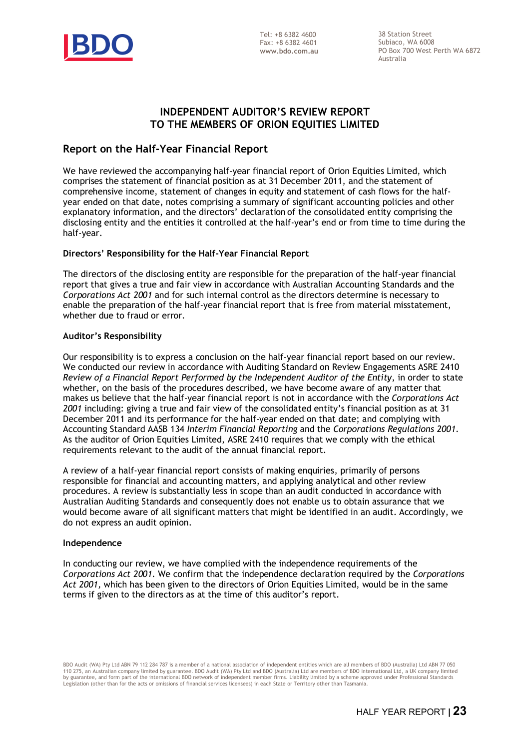

38 Station Street Subiaco, WA 6008 PO Box 700 West Perth WA 6872 Australia

## **INDEPENDENT AUDITOR'S REVIEW REPORT TO THE MEMBERS OF ORION EQUITIES LIMITED**

## **Report on the Half-Year Financial Report**

We have reviewed the accompanying half-year financial report of Orion Equities Limited, which comprises the statement of financial position as at 31 December 2011, and the statement of comprehensive income, statement of changes in equity and statement of cash flows for the halfyear ended on that date, notes comprising a summary of significant accounting policies and other explanatory information, and the directors' declaration of the consolidated entity comprising the disclosing entity and the entities it controlled at the half-year's end or from time to time during the half-year.

### **Directors' Responsibility for the Half-Year Financial Report**

The directors of the disclosing entity are responsible for the preparation of the half-year financial report that gives a true and fair view in accordance with Australian Accounting Standards and the *Corporations Act 2001* and for such internal control as the directors determine is necessary to enable the preparation of the half-year financial report that is free from material misstatement, whether due to fraud or error.

#### **Auditor's Responsibility**

Our responsibility is to express a conclusion on the half-year financial report based on our review. We conducted our review in accordance with Auditing Standard on Review Engagements ASRE 2410 *Review of a Financial Report Performed by the Independent Auditor of the Entity*, in order to state whether, on the basis of the procedures described, we have become aware of any matter that makes us believe that the half-year financial report is not in accordance with the *Corporations Act 2001* including: giving a true and fair view of the consolidated entity's financial position as at 31 December 2011 and its performance for the half-year ended on that date; and complying with Accounting Standard AASB 134 *Interim Financial Reporting* and the *Corporations Regulations 2001*. As the auditor of Orion Equities Limited, ASRE 2410 requires that we comply with the ethical requirements relevant to the audit of the annual financial report.

A review of a half-year financial report consists of making enquiries, primarily of persons responsible for financial and accounting matters, and applying analytical and other review procedures. A review is substantially less in scope than an audit conducted in accordance with Australian Auditing Standards and consequently does not enable us to obtain assurance that we would become aware of all significant matters that might be identified in an audit. Accordingly, we do not express an audit opinion.

#### **Independence**

In conducting our review, we have complied with the independence requirements of the *Corporations Act 2001*. We confirm that the independence declaration required by the *Corporations Act 2001,* which has been given to the directors of Orion Equities Limited, would be in the same terms if given to the directors as at the time of this auditor's report.

110 275, an Australian company limited by guarantee. BDO Audit (WA) Pty Ltd and BDO (Australia) Ltd are members of BDO International Ltd, a UK company limited<br>by guarantee, and form part of the international BDO network of Legislation (other than for the acts or omissions of financial services licensees) in each State or Territory other than Tasmania. BDO Audit (WA) Pty Ltd ABN 79 112 284 787 is a member of a national association of independent entities which are all members of BDO (Australia) Ltd ABN 77 050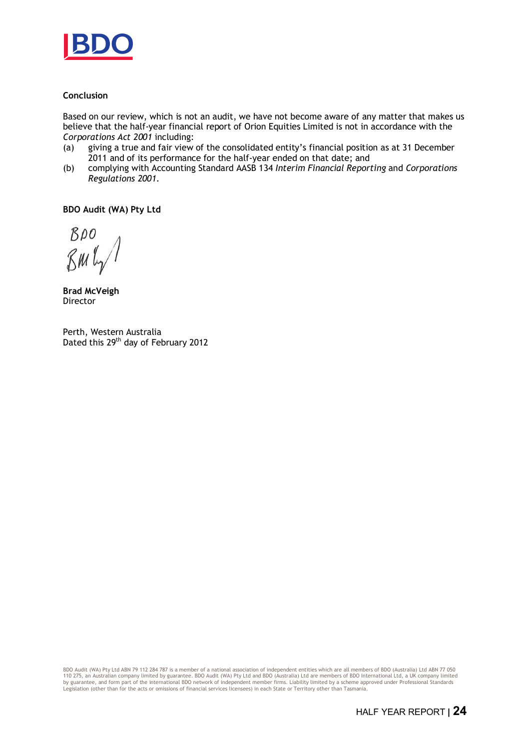

### **Conclusion**

Based on our review, which is not an audit, we have not become aware of any matter that makes us believe that the half-year financial report of Orion Equities Limited is not in accordance with the *Corporations Act 2001* including:

- (a) giving a true and fair view of the consolidated entity's financial position as at 31 December 2011 and of its performance for the half-year ended on that date; and
- (b) complying with Accounting Standard AASB 134 *Interim Financial Reporting* and *Corporations Regulations 2001*.

**BDO Audit (WA) Pty Ltd**

BDO  $\n *8 W U 2*\n$ 

**Brad McVeigh**  Director

Perth, Western Australia Dated this 29<sup>th</sup> day of February 2012

BDO Audit (WA) Pty Ltd ABN 79 112 284 787 is a member of a national association of independent entities which are all members of BDO (Australia) Ltd ABN 77 050 110 275, an Australian company limited by guarantee. BDO Audit (WA) Pty Ltd and BDO (Australia) Ltd are members of BDO International Ltd, a UK company limited<br>by guarantee, and form part of the international BDO network of Legislation (other than for the acts or omissions of financial services licensees) in each State or Territory other than Tasmania.